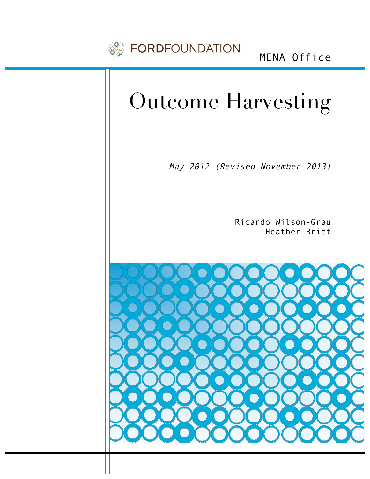

MENA Office

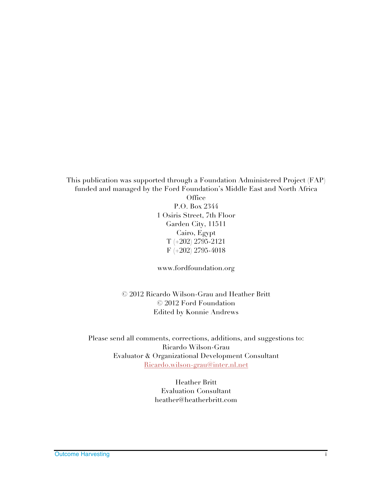This publication was supported through a Foundation Administered Project (FAP) funded and managed by the Ford Foundation's Middle East and North Africa Office P.O. Box 2344 1 Osiris Street, 7th Floor Garden City, 11511 Cairo, Egypt T (+202) 2795-2121 F (+202) 2795-4018

www.fordfoundation.org

© 2012 Ricardo Wilson-Grau and Heather Britt © 2012 Ford Foundation Edited by Konnie Andrews

Please send all comments, corrections, additions, and suggestions to: Ricardo Wilson-Grau Evaluator & Organizational Development Consultant Ricardo.wilson-grau@inter.nl.net

> Heather Britt Evaluation Consultant heather@heatherbritt.com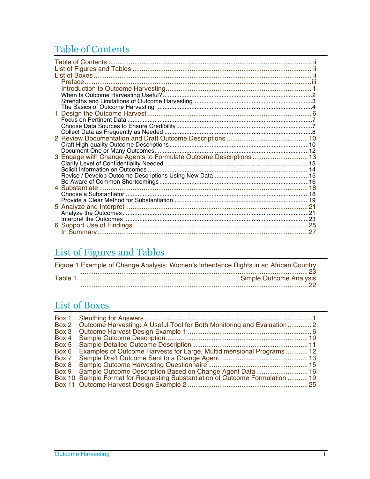## Table of Contents

| 3 Engage with Change Agents to Formulate Outcome Descriptions  13 |  |
|-------------------------------------------------------------------|--|
|                                                                   |  |
|                                                                   |  |
|                                                                   |  |
|                                                                   |  |
|                                                                   |  |
|                                                                   |  |
|                                                                   |  |
|                                                                   |  |
|                                                                   |  |
|                                                                   |  |
|                                                                   |  |
|                                                                   |  |

## List of Figures and Tables

| Figure 1. Example of Change Analysis: Women's Inheritance Rights in an African Country |  |
|----------------------------------------------------------------------------------------|--|
| $23$                                                                                   |  |
|                                                                                        |  |

### **List of Boxes**

| Box 2 Outcome Harvesting: A Useful Tool for Both Monitoring and Evaluation  2 |
|-------------------------------------------------------------------------------|
|                                                                               |
|                                                                               |
|                                                                               |
|                                                                               |
| Examples of Outcome Harvests for Large, Multidimensional Programs 12          |
|                                                                               |
|                                                                               |
| Box 9 Sample Outcome Description Based on Change Agent Data 16                |
| Box 10 Sample Format for Requesting Substantiation of Outcome Formulation  19 |
|                                                                               |
|                                                                               |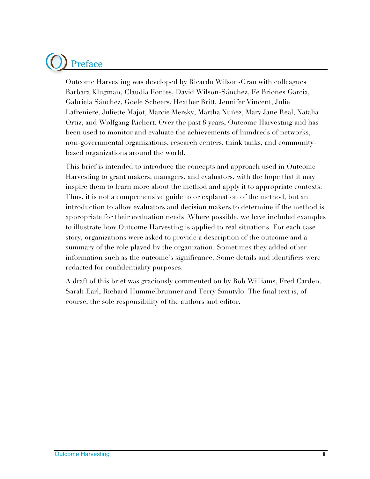# Preface

Outcome Harvesting was developed by Ricardo Wilson-Grau with colleagues Barbara Klugman, Claudia Fontes, David Wilson-Sánchez, Fe Briones Garcia, Gabriela Sánchez, Goele Scheers, Heather Britt, Jennifer Vincent, Julie Lafreniere, Juliette Majot, Marcie Mersky, Martha Nuñez, Mary Jane Real, Natalia Ortiz, and Wolfgang Richert. Over the past 8 years, Outcome Harvesting and has been used to monitor and evaluate the achievements of hundreds of networks, non-governmental organizations, research centers, think tanks, and communitybased organizations around the world.

This brief is intended to introduce the concepts and approach used in Outcome Harvesting to grant makers, managers, and evaluators, with the hope that it may inspire them to learn more about the method and apply it to appropriate contexts. Thus, it is not a comprehensive guide to or explanation of the method, but an introduction to allow evaluators and decision makers to determine if the method is appropriate for their evaluation needs. Where possible, we have included examples to illustrate how Outcome Harvesting is applied to real situations. For each case story, organizations were asked to provide a description of the outcome and a summary of the role played by the organization. Sometimes they added other information such as the outcome's significance. Some details and identifiers were redacted for confidentiality purposes.

A draft of this brief was graciously commented on by Bob Williams, Fred Carden, Sarah Earl, Richard Hummelbrunner and Terry Smutylo. The final text is, of course, the sole responsibility of the authors and editor.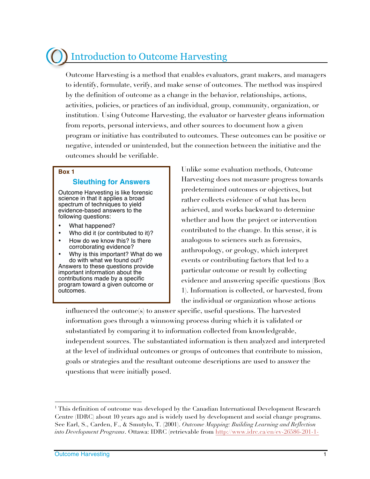## Introduction to Outcome Harvesting

Outcome Harvesting is a method that enables evaluators, grant makers, and managers to identify, formulate, verify, and make sense of outcomes. The method was inspired by the definition of outcome as a change in the behavior, relationships, actions, activities, policies, or practices of an individual, group, community, organization, or institution.1 Using Outcome Harvesting, the evaluator or harvester gleans information from reports, personal interviews, and other sources to document how a given program or initiative has contributed to outcomes. These outcomes can be positive or negative, intended or unintended, but the connection between the initiative and the outcomes should be verifiable.

#### **Box 1**

### **Sleuthing for Answers**

Outcome Harvesting is like forensic science in that it applies a broad spectrum of techniques to yield evidence-based answers to the following questions:

- What happened?
- Who did it (or contributed to it)?
- How do we know this? Is there corroborating evidence?
- Why is this important? What do we do with what we found out?

Answers to these questions provide important information about the contributions made by a specific program toward a given outcome or outcomes.

Unlike some evaluation methods, Outcome Harvesting does not measure progress towards predetermined outcomes or objectives, but rather collects evidence of what has been achieved, and works backward to determine whether and how the project or intervention contributed to the change. In this sense, it is analogous to sciences such as forensics, anthropology, or geology, which interpret events or contributing factors that led to a particular outcome or result by collecting evidence and answering specific questions (Box 1). Information is collected, or harvested, from the individual or organization whose actions

influenced the outcome(s) to answer specific, useful questions. The harvested information goes through a winnowing process during which it is validated or substantiated by comparing it to information collected from knowledgeable, independent sources. The substantiated information is then analyzed and interpreted at the level of individual outcomes or groups of outcomes that contribute to mission, goals or strategies and the resultant outcome descriptions are used to answer the questions that were initially posed.

<sup>-</sup><sup>1</sup> This definition of outcome was developed by the Canadian International Development Research Centre (IDRC) about 10 years ago and is widely used by development and social change programs. See Earl, S., Carden, F., & Smutylo, T. (2001). *Outcome Mapping: Building Learning and Reflection into Development Programs*. Ottawa: IDRC (retrievable from http://www.idrc.ca/en/ev-26586-201-1-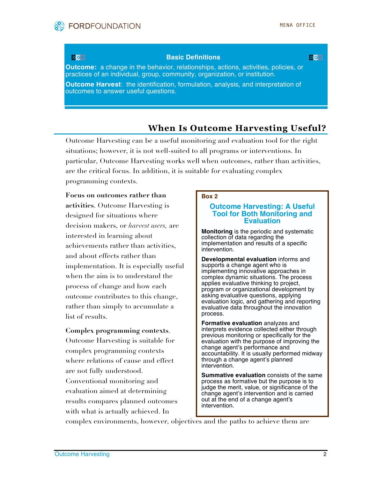

### **Basic Definitions and the definitions** of the definitions of the definitions of the definitions of the definitions

**Outcome:** a change in the behavior, relationships, actions, activities, policies, or practices of an individual, group, community, organization, or institution.

**Outcome Harvest**: the identification, formulation, analysis, and interpretation of outcomes to answer useful questions.

### **When Is Outcome Harvesting Useful?**

Outcome Harvesting can be a useful monitoring and evaluation tool for the right situations; however, it is not well-suited to all programs or interventions. In particular, Outcome Harvesting works well when outcomes, rather than activities, are the critical focus. In addition, it is suitable for evaluating complex programming contexts.

**Focus on outcomes rather than activities**. Outcome Harvesting is designed for situations where decision makers, or *harvest users,* are interested in learning about achievements rather than activities, and about effects rather than implementation. It is especially useful when the aim is to understand the process of change and how each outcome contributes to this change, rather than simply to accumulate a list of results.

#### **Complex programming contexts**.

Outcome Harvesting is suitable for complex programming contexts where relations of cause and effect are not fully understood. Conventional monitoring and evaluation aimed at determining results compares planned outcomes with what is actually achieved. In

#### **Box 2**

#### **Outcome Harvesting: A Useful Tool for Both Monitoring and Evaluation**

**Monitoring** is the periodic and systematic collection of data regarding the implementation and results of a specific intervention.

**Developmental evaluation** informs and supports a change agent who is implementing innovative approaches in complex dynamic situations. The process applies evaluative thinking to project, program or organizational development by asking evaluative questions, applying evaluation logic, and gathering and reporting evaluative data throughout the innovation process.

**Formative evaluation** analyzes and interprets evidence collected either through previous monitoring or specifically for the evaluation with the purpose of improving the change agent's performance and accountability. It is usually performed midway through a change agent's planned intervention.

**Summative evaluation** consists of the same process as formative but the purpose is to judge the merit, value, or significance of the change agent's intervention and is carried out at the end of a change agent's intervention.

complex environments, however, objectives and the paths to achieve them are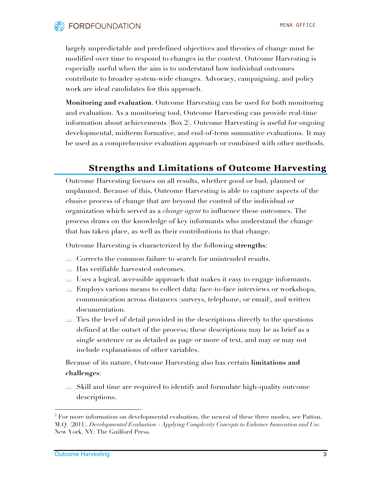

largely unpredictable and predefined objectives and theories of change must be modified over time to respond to changes in the context. Outcome Harvesting is especially useful when the aim is to understand how individual outcomes contribute to broader system-wide changes. Advocacy, campaigning, and policy work are ideal candidates for this approach.

**Monitoring and evaluation**. Outcome Harvesting can be used for both monitoring and evaluation. As a monitoring tool, Outcome Harvesting can provide real-time information about achievements (Box 2). Outcome Harvesting is useful for ongoing developmental, midterm formative, and end-of-term summative evaluations.2 It may be used as a comprehensive evaluation approach or combined with other methods.

### **Strengths and Limitations of Outcome Harvesting**

Outcome Harvesting focuses on all results, whether good or bad, planned or unplanned. Because of this, Outcome Harvesting is able to capture aspects of the elusive process of change that are beyond the control of the individual or organization which served as a *change agent* to influence these outcomes. The process draws on the knowledge of key informants who understand the change that has taken place, as well as their contributions to that change.

Outcome Harvesting is characterized by the following **strengths**:

- $\triangleq$  Corrects the common failure to search for unintended results.
- Has verifiable harvested outcomes.
- Uses a logical, accessible approach that makes it easy to engage informants.
- Employs various means to collect data: face-to-face interviews or workshops, communication across distances (surveys, telephone, or email), and written documentation.
- $\Rightarrow$  Ties the level of detail provided in the descriptions directly to the questions defined at the outset of the process; these descriptions may be as brief as a single sentence or as detailed as page or more of text, and may or may not include explanations of other variables.

Because of its nature, Outcome Harvesting also has certain **limitations and challenges**:

 Skill and time are required to identify and formulate high-quality outcome descriptions.

-

<sup>&</sup>lt;sup>2</sup> For more information on developmental evaluation, the newest of these three modes, see Patton, M.Q. (2011). *Developmental Evaluation* - *Applying Complexity Concepts to Enhance Innovation and Use.*  New York, NY: The Guilford Press.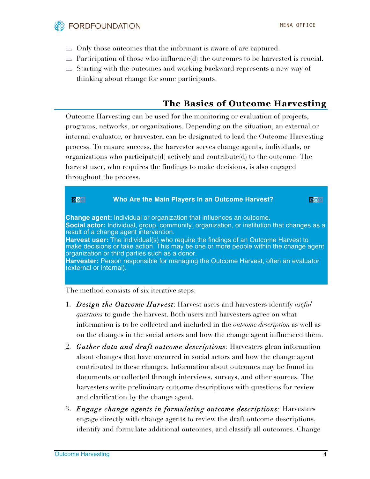

- $\Rightarrow$  Only those outcomes that the informant is aware of are captured.
- $\Rightarrow$  Participation of those who influence(d) the outcomes to be harvested is crucial.
- Starting with the outcomes and working backward represents a new way of thinking about change for some participants.

### **The Basics of Outcome Harvesting**

Outcome Harvesting can be used for the monitoring or evaluation of projects, programs, networks, or organizations. Depending on the situation, an external or internal evaluator, or harvester, can be designated to lead the Outcome Harvesting process. To ensure success, the harvester serves change agents, individuals, or organizations who participate(d) actively and contribute(d) to the outcome. The harvest user, who requires the findings to make decisions, is also engaged throughout the process.



The method consists of six iterative steps:

- 1. *Design the Outcome Harvest*: Harvest users and harvesters identify *useful questions* to guide the harvest. Both users and harvesters agree on what information is to be collected and included in the *outcome description* as well as on the changes in the social actors and how the change agent influenced them.
- 2. *Gather data and draft outcome descriptions*: Harvesters glean information about changes that have occurred in social actors and how the change agent contributed to these changes. Information about outcomes may be found in documents or collected through interviews, surveys, and other sources. The harvesters write preliminary outcome descriptions with questions for review and clarification by the change agent.
- 3. *Engage change agents in formulating outcome descriptions:* Harvesters engage directly with change agents to review the draft outcome descriptions, identify and formulate additional outcomes, and classify all outcomes. Change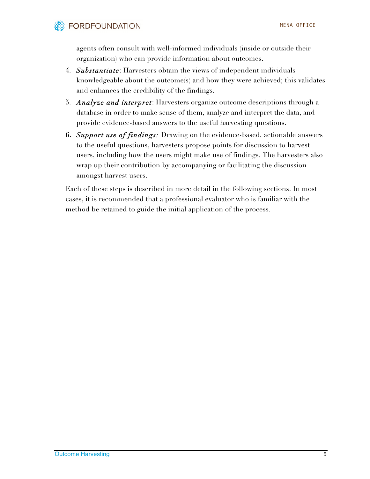agents often consult with well-informed individuals (inside or outside their organization) who can provide information about outcomes.

- 4. *Substantiate*: Harvesters obtain the views of independent individuals knowledgeable about the outcome(s) and how they were achieved; this validates and enhances the credibility of the findings.
- 5. *Analyze and interpret*: Harvesters organize outcome descriptions through a database in order to make sense of them, analyze and interpret the data, and provide evidence-based answers to the useful harvesting questions.
- **6.** *Support use of findings:* Drawing on the evidence-based, actionable answers to the useful questions, harvesters propose points for discussion to harvest users, including how the users might make use of findings. The harvesters also wrap up their contribution by accompanying or facilitating the discussion amongst harvest users.

Each of these steps is described in more detail in the following sections. In most cases, it is recommended that a professional evaluator who is familiar with the method be retained to guide the initial application of the process.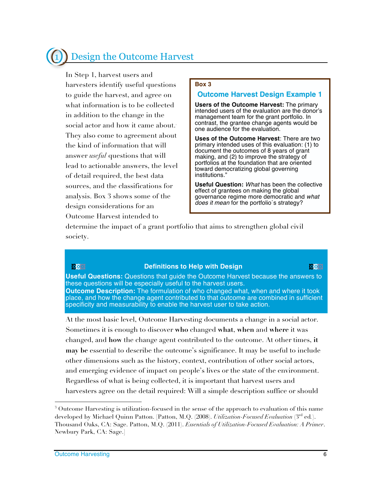## 1 Design the Outcome Harvest

In Step 1, harvest users and harvesters identify useful questions to guide the harvest, and agree on what information is to be collected in addition to the change in the social actor and how it came about. 3 They also come to agreement about the kind of information that will answer *useful* questions that will lead to actionable answers, the level of detail required, the best data sources, and the classifications for analysis. Box 3 shows some of the design considerations for an Outcome Harvest intended to

#### **Box 3**

### **Outcome Harvest Design Example 1**

**Users of the Outcome Harvest:** The primary intended users of the evaluation are the donor's management team for the grant portfolio. In contrast, the grantee change agents would be one audience for the evaluation.

**Uses of the Outcome Harvest**: There are two primary intended uses of this evaluation: (1) to document the outcomes of 8 years of grant making, and (2) to improve the strategy of portfolios at the foundation that are oriented toward democratizing global governing institutions."

**Useful Question:** *What* has been the collective effect of grantees on making the global governance regime more democratic and *what does it mean* for the portfolio´s strategy?

determine the impact of a grant portfolio that aims to strengthen global civil society.

### **Definitions to Help with Design with the Contract of the Design of the Contract of the Contract of the Contract of the Contract of the Contract of the Contract of the Contract of the Contract of the Contract of the Contr**

**Useful Questions:** Questions that guide the Outcome Harvest because the answers to these questions will be especially useful to the harvest users. **Outcome Description:** The formulation of who changed what, when and where it took place, and how the change agent contributed to that outcome are combined in sufficient specificity and measurability to enable the harvest user to take action.

At the most basic level, Outcome Harvesting documents a change in a social actor. Sometimes it is enough to discover **who** changed **what**, **when** and **where** it was changed, and **how** the change agent contributed to the outcome. At other times, **it may be** essential to describe the outcome's significance. It may be useful to include other dimensions such as the history, context, contribution of other social actors, and emerging evidence of impact on people's lives or the state of the environment. Regardless of what is being collected, it is important that harvest users and harvesters agree on the detail required: Will a simple description suffice or should

-

<sup>&</sup>lt;sup>3</sup> Outcome Harvesting is utilization-focused in the sense of the approach to evaluation of this name developed by Michael Quinn Patton. [Patton, M.Q. (2008). *Utilization-Focused Evaluation* (3rd ed*.*). Thousand Oaks, CA: Sage. Patton, M.Q. (2011). *Essentials of Utilization-Focused Evaluation: A Primer*. Newbury Park, CA: Sage.]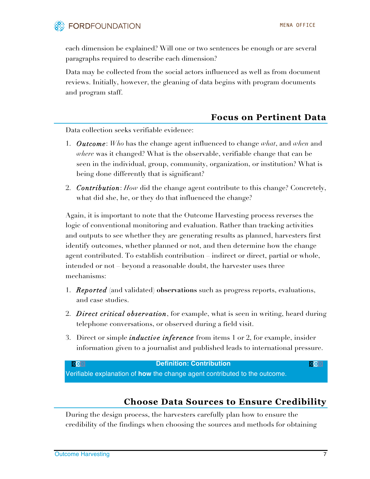

each dimension be explained? Will one or two sentences be enough or are several paragraphs required to describe each dimension?

Data may be collected from the social actors influenced as well as from document reviews. Initially, however, the gleaning of data begins with program documents and program staff.

### **Focus on Pertinent Data**

Data collection seeks verifiable evidence:

- 1. *Outcome*: *Who* has the change agent influenced to change *what*, and *when* and *where* was it changed? What is the observable, verifiable change that can be seen in the individual, group, community, organization, or institution? What is being done differently that is significant?
- 2. *Contribution*: *How* did the change agent contribute to this change? Concretely, what did she, he, or they do that influenced the change?

Again, it is important to note that the Outcome Harvesting process reverses the logic of conventional monitoring and evaluation. Rather than tracking activities and outputs to see whether they are generating results as planned, harvesters first identify outcomes, whether planned or not, and then determine how the change agent contributed. To establish contribution – indirect or direct, partial or whole, intended or not – beyond a reasonable doubt, the harvester uses three mechanisms:

- 1. *Reported* (and validated) **observations** such as progress reports, evaluations, and case studies.
- 2. *Direct critical observation*, for example, what is seen in writing, heard during telephone conversations, or observed during a field visit.
- 3. Direct or simple *inductive inference* from items 1 or 2, for example, insider information given to a journalist and published leads to international pressure.

**Definition: Contribution and the set of the set of the set of the set of the set of the set of the set of the s** 

Verifiable explanation of **how** the change agent contributed to the outcome.

### **Choose Data Sources to Ensure Credibility**

During the design process, the harvesters carefully plan how to ensure the credibility of the findings when choosing the sources and methods for obtaining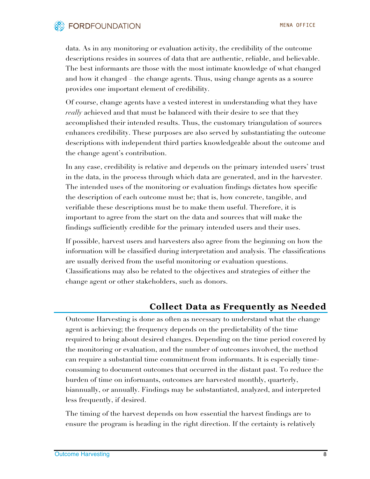

data. As in any monitoring or evaluation activity, the credibility of the outcome descriptions resides in sources of data that are authentic, reliable, and believable. The best informants are those with the most intimate knowledge of what changed and how it changed – the change agents. Thus, using change agents as a source provides one important element of credibility.

Of course, change agents have a vested interest in understanding what they have *really* achieved and that must be balanced with their desire to see that they accomplished their intended results. Thus, the customary triangulation of sources enhances credibility. These purposes are also served by substantiating the outcome descriptions with independent third parties knowledgeable about the outcome and the change agent's contribution.

In any case, credibility is relative and depends on the primary intended users' trust in the data, in the process through which data are generated, and in the harvester. The intended uses of the monitoring or evaluation findings dictates how specific the description of each outcome must be; that is, how concrete, tangible, and verifiable these descriptions must be to make them useful. Therefore, it is important to agree from the start on the data and sources that will make the findings sufficiently credible for the primary intended users and their uses.

If possible, harvest users and harvesters also agree from the beginning on how the information will be classified during interpretation and analysis. The classifications are usually derived from the useful monitoring or evaluation questions. Classifications may also be related to the objectives and strategies of either the change agent or other stakeholders, such as donors.

### **Collect Data as Frequently as Needed**

Outcome Harvesting is done as often as necessary to understand what the change agent is achieving; the frequency depends on the predictability of the time required to bring about desired changes. Depending on the time period covered by the monitoring or evaluation, and the number of outcomes involved, the method can require a substantial time commitment from informants. It is especially timeconsuming to document outcomes that occurred in the distant past. To reduce the burden of time on informants, outcomes are harvested monthly, quarterly, biannually, or annually. Findings may be substantiated, analyzed, and interpreted less frequently, if desired.

The timing of the harvest depends on how essential the harvest findings are to ensure the program is heading in the right direction. If the certainty is relatively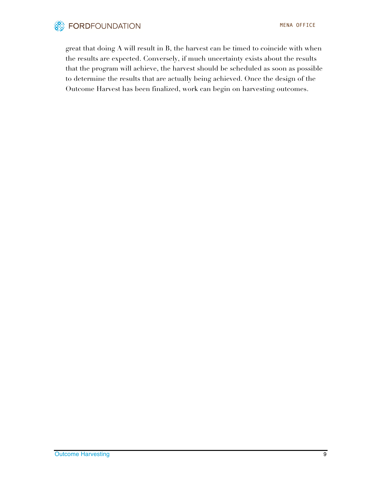

great that doing A will result in B, the harvest can be timed to coincide with when the results are expected. Conversely, if much uncertainty exists about the results that the program will achieve, the harvest should be scheduled as soon as possible to determine the results that are actually being achieved. Once the design of the Outcome Harvest has been finalized, work can begin on harvesting outcomes.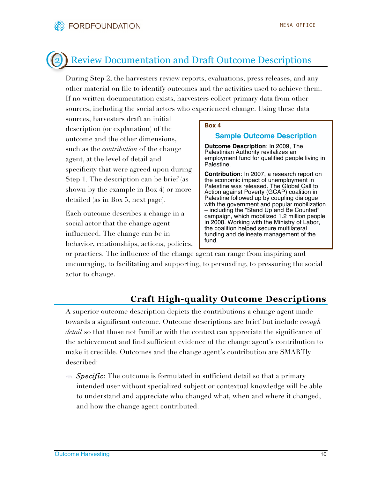## 2 Review Documentation and Draft Outcome Descriptions

During Step 2, the harvesters review reports, evaluations, press releases, and any other material on file to identify outcomes and the activities used to achieve them. If no written documentation exists, harvesters collect primary data from other sources, including the social actors who experienced change. Using these data

sources, harvesters draft an initial description (or explanation) of the outcome and the other dimensions, such as the *contribution* of the change agent, at the level of detail and specificity that were agreed upon during Step 1. The description can be brief (as shown by the example in Box 4) or more detailed (as in Box 5, next page).

Each outcome describes a change in a social actor that the change agent influenced. The change can be in behavior, relationships, actions, policies,

### **Box 4**

### **Sample Outcome Description**

**Outcome Description**: In 2009, The Palestinian Authority revitalizes an employment fund for qualified people living in Palestine.

**Contribution**: In 2007, a research report on the economic impact of unemployment in Palestine was released. The Global Call to Action against Poverty (GCAP) coalition in Palestine followed up by coupling dialogue with the government and popular mobilization – including the "Stand Up and Be Counted" campaign, which mobilized 1.2 million people in 2008. Working with the Ministry of Labor, the coalition helped secure multilateral funding and delineate management of the fund.

or practices. The influence of the change agent can range from inspiring and encouraging, to facilitating and supporting, to persuading, to pressuring the social actor to change.

### **Craft High-quality Outcome Descriptions**

A superior outcome description depicts the contributions a change agent made towards a significant outcome. Outcome descriptions are brief but include *enough detail* so that those not familiar with the context can appreciate the significance of the achievement and find sufficient evidence of the change agent's contribution to make it credible. Outcomes and the change agent's contribution are SMARTly described:

 *Specific*: The outcome is formulated in sufficient detail so that a primary intended user without specialized subject or contextual knowledge will be able to understand and appreciate who changed what, when and where it changed, and how the change agent contributed.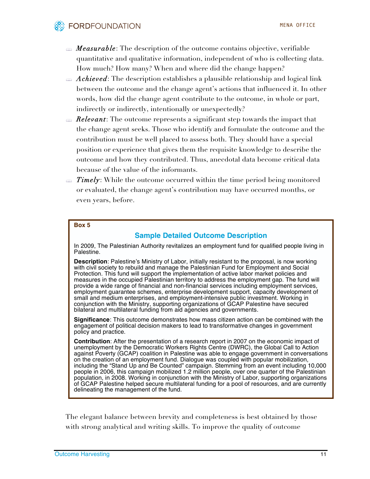- *Measurable*: The description of the outcome contains objective, verifiable quantitative and qualitative information, independent of who is collecting data. How much? How many? When and where did the change happen?
- *Achieved*: The description establishes a plausible relationship and logical link between the outcome and the change agent's actions that influenced it. In other words, how did the change agent contribute to the outcome, in whole or part, indirectly or indirectly, intentionally or unexpectedly?
- *Relevant*: The outcome represents a significant step towards the impact that the change agent seeks. Those who identify and formulate the outcome and the contribution must be well placed to assess both. They should have a special position or experience that gives them the requisite knowledge to describe the outcome and how they contributed. Thus, anecdotal data become critical data because of the value of the informants.
- *Timely*: While the outcome occurred within the time period being monitored or evaluated, the change agent's contribution may have occurred months, or even years, before.

#### **Box 5**

### **Sample Detailed Outcome Description**

In 2009, The Palestinian Authority revitalizes an employment fund for qualified people living in Palestine.

**Description**: Palestine's Ministry of Labor, initially resistant to the proposal, is now working with civil society to rebuild and manage the Palestinian Fund for Employment and Social Protection. This fund will support the implementation of active labor market policies and measures in the occupied Palestinian territory to address the employment gap. The fund will provide a wide range of financial and non-financial services including employment services, employment guarantee schemes, enterprise development support, capacity development of small and medium enterprises, and employment-intensive public investment. Working in conjunction with the Ministry, supporting organizations of GCAP Palestine have secured bilateral and multilateral funding from aid agencies and governments.

**Significance**: This outcome demonstrates how mass citizen action can be combined with the engagement of political decision makers to lead to transformative changes in government policy and practice.

**Contribution**: After the presentation of a research report in 2007 on the economic impact of unemployment by the Democratic Workers Rights Centre (DWRC), the Global Call to Action against Poverty (GCAP) coalition in Palestine was able to engage government in conversations on the creation of an employment fund. Dialogue was coupled with popular mobilization, including the "Stand Up and Be Counted" campaign. Stemming from an event including 10,000 people in 2006, this campaign mobilized 1.2 million people, over one quarter of the Palestinian population, in 2008. Working in conjunction with the Ministry of Labor, supporting organizations of GCAP Palestine helped secure multilateral funding for a pool of resources, and are currently delineating the management of the fund.

The elegant balance between brevity and completeness is best obtained by those with strong analytical and writing skills. To improve the quality of outcome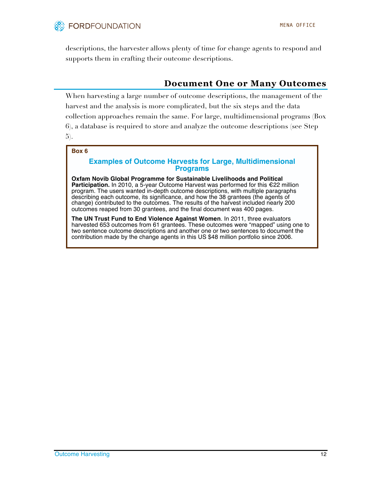

descriptions, the harvester allows plenty of time for change agents to respond and supports them in crafting their outcome descriptions.

### **Document One or Many Outcomes**

When harvesting a large number of outcome descriptions, the management of the harvest and the analysis is more complicated, but the six steps and the data collection approaches remain the same. For large, multidimensional programs (Box 6), a database is required to store and analyze the outcome descriptions (see Step 5).

#### **Box 6**

#### **Examples of Outcome Harvests for Large, Multidimensional Programs**

**Oxfam Novib Global Programme for Sustainable Livelihoods and Political Participation.** In 2010, a 5-year Outcome Harvest was performed for this €22 million program. The users wanted in-depth outcome descriptions, with multiple paragraphs describing each outcome, its significance, and how the 38 grantees (the agents of change) contributed to the outcomes. The results of the harvest included nearly 200 outcomes reaped from 30 grantees, and the final document was 400 pages.

**The UN Trust Fund to End Violence Against Women**. In 2011, three evaluators harvested 653 outcomes from 61 grantees. These outcomes were "mapped" using one to two sentence outcome descriptions and another one or two sentences to document the contribution made by the change agents in this US \$48 million portfolio since 2006.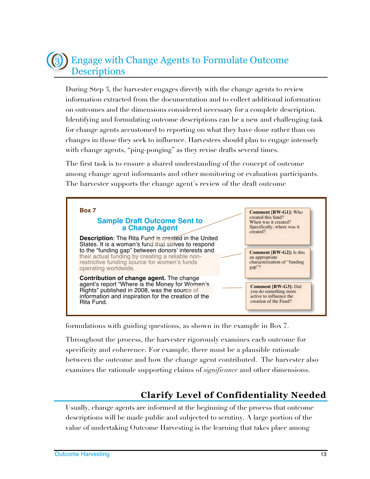## 3 Engage with Change Agents to Formulate Outcome **Descriptions**

During Step 3, the harvester engages directly with the change agents to review information extracted from the documentation and to collect additional information on outcomes and the dimensions considered necessary for a complete description. Identifying and formulating outcome descriptions can be a new and challenging task for change agents accustomed to reporting on what they have done rather than on changes in those they seek to influence. Harvesters should plan to engage intensely with change agents, "ping-ponging" as they revise drafts several times.

The first task is to ensure a shared understanding of the concept of outcome among change agent informants and other monitoring or evaluation participants. The harvester supports the change agent´s review of the draft outcome



formulations with guiding questions, as shown in the example in Box 7.

Throughout the process, the harvester rigorously examines each outcome for specificity and coherence. For example, there must be a plausible rationale between the outcome and how the change agent contributed. The harvester also examines the rationale supporting claims of *significance* and other dimensions.

### **Clarify Level of Confidentiality Needed**

Usually, change agents are informed at the beginning of the process that outcome descriptions will be made public and subjected to scrutiny. A large portion of the value of undertaking Outcome Harvesting is the learning that takes place among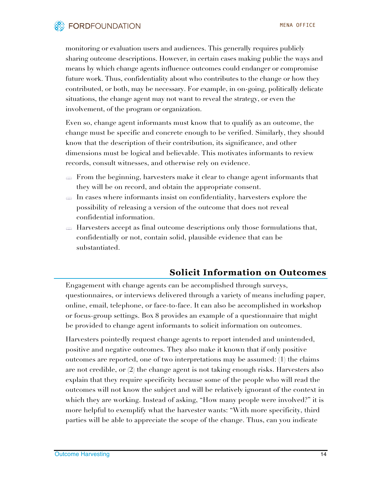

monitoring or evaluation users and audiences. This generally requires publicly sharing outcome descriptions. However, in certain cases making public the ways and means by which change agents influence outcomes could endanger or compromise future work. Thus, confidentiality about who contributes to the change or how they contributed, or both, may be necessary. For example, in on-going, politically delicate situations, the change agent may not want to reveal the strategy, or even the involvement, of the program or organization.

Even so, change agent informants must know that to qualify as an outcome, the change must be specific and concrete enough to be verified. Similarly, they should know that the description of their contribution, its significance, and other dimensions must be logical and believable. This motivates informants to review records, consult witnesses, and otherwise rely on evidence.

- From the beginning, harvesters make it clear to change agent informants that they will be on record, and obtain the appropriate consent.
- $\Rightarrow$  In cases where informants insist on confidentiality, harvesters explore the possibility of releasing a version of the outcome that does not reveal confidential information.
- $\Rightarrow$  Harvesters accept as final outcome descriptions only those formulations that, confidentially or not, contain solid, plausible evidence that can be substantiated.

### **Solicit Information on Outcomes**

Engagement with change agents can be accomplished through surveys, questionnaires, or interviews delivered through a variety of means including paper, online, email, telephone, or face-to-face. It can also be accomplished in workshop or focus-group settings. Box 8 provides an example of a questionnaire that might be provided to change agent informants to solicit information on outcomes.

Harvesters pointedly request change agents to report intended and unintended, positive and negative outcomes. They also make it known that if only positive outcomes are reported, one of two interpretations may be assumed: (1) the claims are not credible, or (2) the change agent is not taking enough risks. Harvesters also explain that they require specificity because some of the people who will read the outcomes will not know the subject and will be relatively ignorant of the context in which they are working. Instead of asking, "How many people were involved?" it is more helpful to exemplify what the harvester wants: "With more specificity, third parties will be able to appreciate the scope of the change. Thus, can you indicate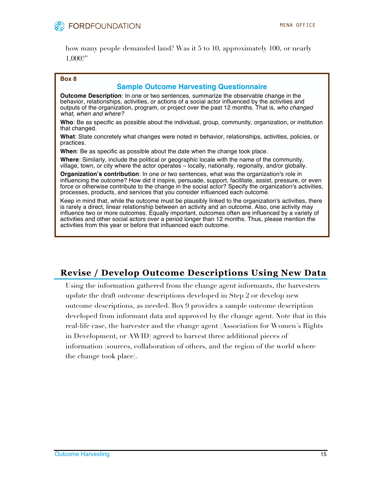

how many people demanded land? Was it 5 to 10, approximately 100, or nearly 1,000?"

#### **Box 8**

### **Sample Outcome Harvesting Questionnaire**

**Outcome Description**: In one or two sentences, summarize the observable change in the behavior, relationships, activities, or actions of a social actor influenced by the activities and outputs of the organization, program, or project over the past 12 months. That is, *who changed what, when and where?* 

**Who**: Be as specific as possible about the individual, group, community, organization, or institution that changed.

**What**: State concretely what changes were noted in behavior, relationships, activities, policies, or practices.

**When**: Be as specific as possible about the date when the change took place.

**Where**: Similarly, include the political or geographic locale with the name of the community, village, town, or city where the actor operates – locally, nationally, regionally, and/or globally.

**Organization's contribution**: In one or two sentences, what was the organization's role in influencing the outcome? How did it inspire, persuade, support, facilitate, assist, pressure, or even force or otherwise contribute to the change in the social actor? Specify the organization's activities, processes, products, and services that you consider influenced each outcome.

Keep in mind that, while the outcome must be plausibly linked to the organization's activities, there is rarely a direct, linear relationship between an activity and an outcome. Also, one activity may influence two or more outcomes. Equally important, outcomes often are influenced by a variety of activities and other social actors over a period longer than 12 months. Thus, please mention the activities from this year or before that influenced each outcome.

### **Revise / Develop Outcome Descriptions Using New Data**

Using the information gathered from the change agent informants, the harvesters update the draft outcome descriptions developed in Step 2 or develop new outcome descriptions, as needed. Box 9 provides a sample outcome description developed from informant data and approved by the change agent. Note that in this real-life case, the harvester and the change agent (Association for Women´s Rights in Development, or AWID) agreed to harvest three additional pieces of information (sources, collaboration of others, and the region of the world where the change took place).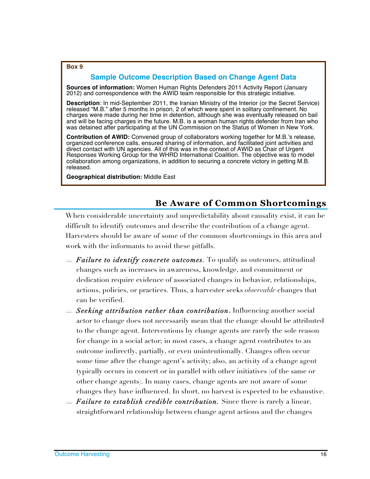#### **Box 9**

### **Sample Outcome Description Based on Change Agent Data**

**Sources of information:** Women Human Rights Defenders 2011 Activity Report (January 2012) and correspondence with the AWID team responsible for this strategic initiative.

**Description**: In mid-September 2011, the Iranian Ministry of the Interior (or the Secret Service) released "M.B." after 5 months in prison, 2 of which were spent in solitary confinement. No charges were made during her time in detention, although she was eventually released on bail and will be facing charges in the future. M.B. is a woman human rights defender from Iran who was detained after participating at the UN Commission on the Status of Women in New York.

**Contribution of AWID:** Convened group of collaborators working together for M.B.'s release, organized conference calls, ensured sharing of information, and facilitated joint activities and direct contact with UN agencies. All of this was in the context of AWID as Chair of Urgent Responses Working Group for the WHRD International Coalition. The objective was to model collaboration among organizations, in addition to securing a concrete victory in getting M.B. released.

**Geographical distribution:** Middle East

### **Be Aware of Common Shortcomings**

When considerable uncertainty and unpredictability about causality exist, it can be difficult to identify outcomes and describe the contribution of a change agent. Harvesters should be aware of some of the common shortcomings in this area and work with the informants to avoid these pitfalls.

- *Failure to identify concrete outcomes.* To qualify as outcomes, attitudinal changes such as increases in awareness, knowledge, and commitment or dedication require evidence of associated changes in behavior, relationships, actions, policies, or practices. Thus, a harvester seeks *observable* changes that can be verified.
- *Seeking attribution rather than contribution***.** Influencing another social actor to change does not necessarily mean that the change should be attributed to the change agent. Interventions by change agents are rarely the sole reason for change in a social actor; in most cases, a change agent contributes to an outcome indirectly, partially, or even unintentionally. Changes often occur some time after the change agent's activity; also, an activity of a change agent typically occurs in concert or in parallel with other initiatives (of the same or other change agents). In many cases, change agents are not aware of some changes they have influenced. In short, no harvest is expected to be exhaustive.
- *Failure to establish credible contribution.* Since there is rarely a linear, straightforward relationship between change agent actions and the changes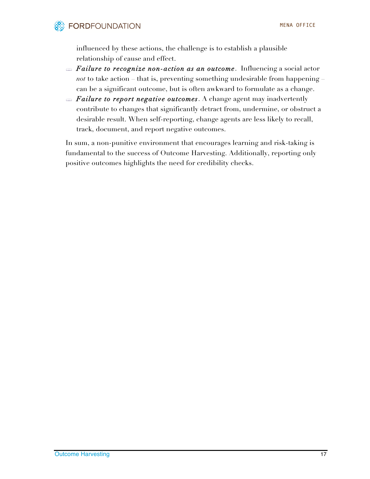influenced by these actions, the challenge is to establish a plausible relationship of cause and effect.

- *Failure to recognize non-action as an outcome*. Influencing a social actor *not* to take action – that is, preventing something undesirable from happening can be a significant outcome, but is often awkward to formulate as a change.
- *Failure to report negative outcomes*. A change agent may inadvertently contribute to changes that significantly detract from, undermine, or obstruct a desirable result. When self-reporting, change agents are less likely to recall, track, document, and report negative outcomes.

In sum, a non-punitive environment that encourages learning and risk-taking is fundamental to the success of Outcome Harvesting. Additionally, reporting only positive outcomes highlights the need for credibility checks.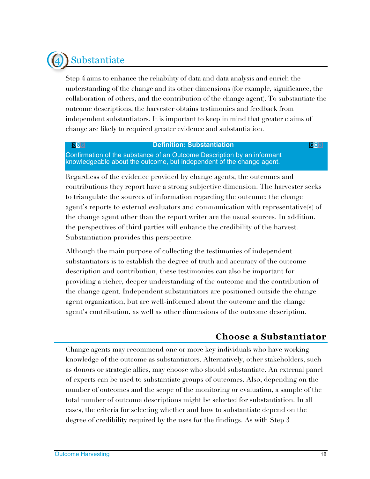# **Substantiate**

Step 4 aims to enhance the reliability of data and data analysis and enrich the understanding of the change and its other dimensions (for example, significance, the collaboration of others, and the contribution of the change agent). To substantiate the outcome descriptions, the harvester obtains testimonies and feedback from independent substantiators. It is important to keep in mind that greater claims of change are likely to required greater evidence and substantiation.

### **Definition: Substantiation**

Confirmation of the substance of an Outcome Description by an informant knowledgeable about the outcome, but independent of the change agent.

Regardless of the evidence provided by change agents, the outcomes and contributions they report have a strong subjective dimension. The harvester seeks to triangulate the sources of information regarding the outcome; the change agent's reports to external evaluators and communication with representative(s) of the change agent other than the report writer are the usual sources. In addition, the perspectives of third parties will enhance the credibility of the harvest. Substantiation provides this perspective.

Although the main purpose of collecting the testimonies of independent substantiators is to establish the degree of truth and accuracy of the outcome description and contribution, these testimonies can also be important for providing a richer, deeper understanding of the outcome and the contribution of the change agent. Independent substantiators are positioned outside the change agent organization, but are well-informed about the outcome and the change agent's contribution, as well as other dimensions of the outcome description.

### **Choose a Substantiator**

Change agents may recommend one or more key individuals who have working knowledge of the outcome as substantiators. Alternatively, other stakeholders, such as donors or strategic allies, may choose who should substantiate. An external panel of experts can be used to substantiate groups of outcomes. Also, depending on the number of outcomes and the scope of the monitoring or evaluation, a sample of the total number of outcome descriptions might be selected for substantiation. In all cases, the criteria for selecting whether and how to substantiate depend on the degree of credibility required by the uses for the findings. As with Step 3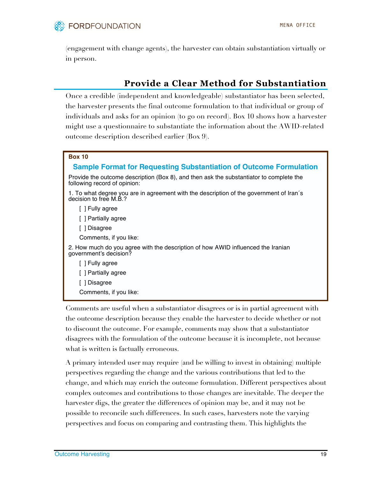

(engagement with change agents), the harvester can obtain substantiation virtually or in person.

### **Provide a Clear Method for Substantiation**

Once a credible (independent and knowledgeable) substantiator has been selected, the harvester presents the final outcome formulation to that individual or group of individuals and asks for an opinion (to go on record). Box 10 shows how a harvester might use a questionnaire to substantiate the information about the AWID-related outcome description described earlier (Box 9).

#### **Box 10**

### **Sample Format for Requesting Substantiation of Outcome Formulation**

Provide the outcome description (Box 8), and then ask the substantiator to complete the following record of opinion:

1. To what degree you are in agreement with the description of the government of Iran´s decision to free M.B.?

[ ] Fully agree

[ ] Partially agree

[ ] Disagree

Comments, if you like:

2. How much do you agree with the description of how AWID influenced the Iranian government's decision?

[ ] Fully agree

[ ] Partially agree

[ ] Disagree

Comments, if you like:

Comments are useful when a substantiator disagrees or is in partial agreement with the outcome description because they enable the harvester to decide whether or not to discount the outcome. For example, comments may show that a substantiator disagrees with the formulation of the outcome because it is incomplete, not because what is written is factually erroneous.

A primary intended user may require (and be willing to invest in obtaining) multiple perspectives regarding the change and the various contributions that led to the change, and which may enrich the outcome formulation. Different perspectives about complex outcomes and contributions to those changes are inevitable. The deeper the harvester digs, the greater the differences of opinion may be, and it may not be possible to reconcile such differences. In such cases, harvesters note the varying perspectives and focus on comparing and contrasting them. This highlights the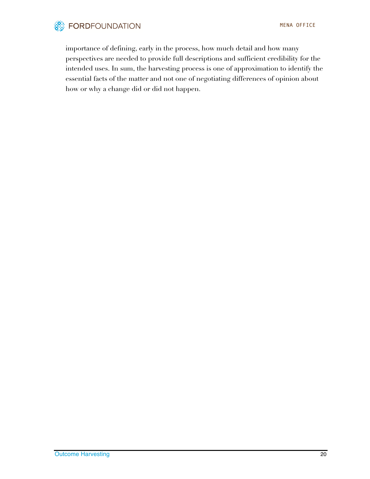

importance of defining, early in the process, how much detail and how many perspectives are needed to provide full descriptions and sufficient credibility for the intended uses. In sum, the harvesting process is one of approximation to identify the essential facts of the matter and not one of negotiating differences of opinion about how or why a change did or did not happen.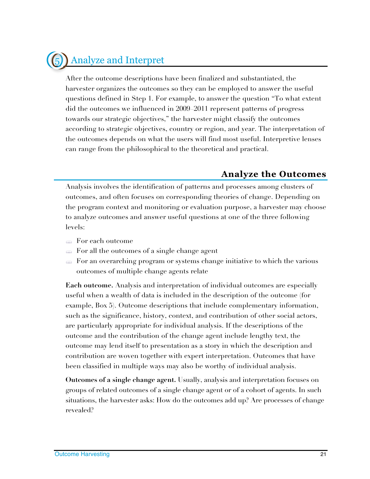## 5<sup>1</sup> Analyze and Interpret

After the outcome descriptions have been finalized and substantiated, the harvester organizes the outcomes so they can be employed to answer the useful questions defined in Step 1. For example, to answer the question "To what extent did the outcomes we influenced in 2009–2011 represent patterns of progress towards our strategic objectives," the harvester might classify the outcomes according to strategic objectives, country or region, and year. The interpretation of the outcomes depends on what the users will find most useful. Interpretive lenses can range from the philosophical to the theoretical and practical.

### **Analyze the Outcomes**

Analysis involves the identification of patterns and processes among clusters of outcomes, and often focuses on corresponding theories of change. Depending on the program context and monitoring or evaluation purpose, a harvester may choose to analyze outcomes and answer useful questions at one of the three following levels:

- For each outcome
- For all the outcomes of a single change agent
- For an overarching program or systems change initiative to which the various outcomes of multiple change agents relate

**Each outcome.** Analysis and interpretation of individual outcomes are especially useful when a wealth of data is included in the description of the outcome (for example, Box 5). Outcome descriptions that include complementary information, such as the significance, history, context, and contribution of other social actors, are particularly appropriate for individual analysis. If the descriptions of the outcome and the contribution of the change agent include lengthy text, the outcome may lend itself to presentation as a story in which the description and contribution are woven together with expert interpretation. Outcomes that have been classified in multiple ways may also be worthy of individual analysis.

**Outcomes of a single change agent.** Usually, analysis and interpretation focuses on groups of related outcomes of a single change agent or of a cohort of agents. In such situations, the harvester asks: How do the outcomes add up? Are processes of change revealed?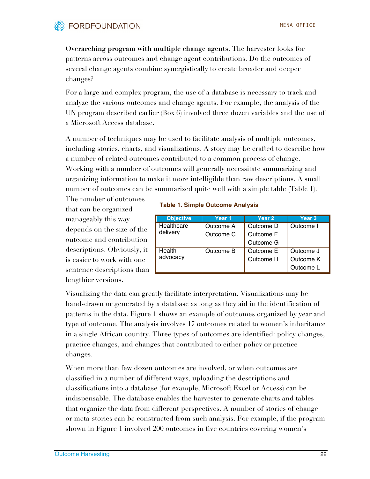### **FORDFOUNDATION**

**Overarching program with multiple change agents.** The harvester looks for patterns across outcomes and change agent contributions. Do the outcomes of several change agents combine synergistically to create broader and deeper changes?

For a large and complex program, the use of a database is necessary to track and analyze the various outcomes and change agents. For example, the analysis of the UN program described earlier (Box 6) involved three dozen variables and the use of a Microsoft Access database.

A number of techniques may be used to facilitate analysis of multiple outcomes, including stories, charts, and visualizations. A story may be crafted to describe how a number of related outcomes contributed to a common process of change. Working with a number of outcomes will generally necessitate summarizing and organizing information to make it more intelligible than raw descriptions. A small number of outcomes can be summarized quite well with a simple table (Table 1).

The number of outcomes that can be organized manageably this way depends on the size of the outcome and contribution descriptions. Obviously, it is easier to work with one sentence descriptions than lengthier versions.

#### **Table 1. Simple Outcome Analysis**

| <b>Objective</b> | Year 1    | Year 2    | Year 3    |
|------------------|-----------|-----------|-----------|
| Healthcare       | Outcome A | Outcome D | Outcome I |
| delivery         | Outcome C | Outcome F |           |
|                  |           | Outcome G |           |
| Health           | Outcome B | Outcome E | Outcome J |
| advocacy         |           | Outcome H | Outcome K |
|                  |           |           | Outcome L |

Visualizing the data can greatly facilitate interpretation. Visualizations may be hand-drawn or generated by a database as long as they aid in the identification of patterns in the data. Figure 1 shows an example of outcomes organized by year and type of outcome. The analysis involves 17 outcomes related to women's inheritance in a single African country. Three types of outcomes are identified: policy changes, practice changes, and changes that contributed to either policy or practice changes.

When more than few dozen outcomes are involved, or when outcomes are classified in a number of different ways, uploading the descriptions and classifications into a database (for example, Microsoft Excel or Access) can be indispensable. The database enables the harvester to generate charts and tables that organize the data from different perspectives. A number of stories of change or meta-stories can be constructed from such analysis. For example, if the program shown in Figure 1 involved 200 outcomes in five countries covering women's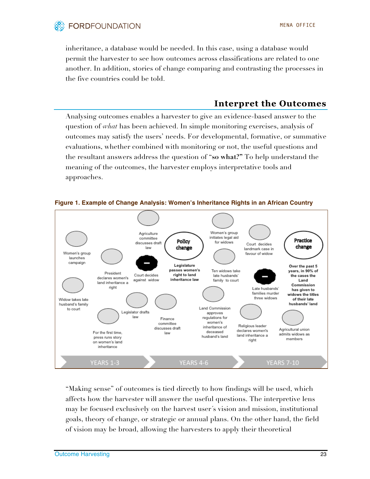

inheritance, a database would be needed. In this case, using a database would permit the harvester to see how outcomes across classifications are related to one another. In addition, stories of change comparing and contrasting the processes in the five countries could be told.

### **Interpret the Outcomes**

Analysing outcomes enables a harvester to give an evidence-based answer to the question of *what* has been achieved. In simple monitoring exercises, analysis of outcomes may satisfy the users' needs. For developmental, formative, or summative evaluations, whether combined with monitoring or not, the useful questions and the resultant answers address the question of "**so what?"** To help understand the meaning of the outcomes, the harvester employs interpretative tools and approaches.



**Figure 1. Example of Change Analysis: Women's Inheritance Rights in an African Country**

"Making sense" of outcomes is tied directly to how findings will be used, which affects how the harvester will answer the useful questions. The interpretive lens may be focused exclusively on the harvest user´s vision and mission, institutional goals, theory of change, or strategic or annual plans. On the other hand, the field of vision may be broad, allowing the harvesters to apply their theoretical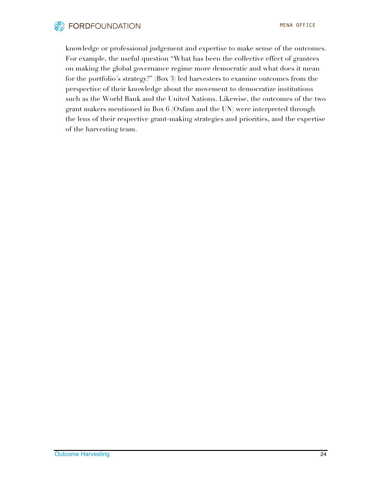

knowledge or professional judgement and expertise to make sense of the outcomes. For example, the useful question "What has been the collective effect of grantees on making the global governance regime more democratic and what does it mean for the portfolio´s strategy?" (Box 3) led harvesters to examine outcomes from the perspective of their knowledge about the movement to democratize institutions such as the World Bank and the United Nations. Likewise, the outcomes of the two grant makers mentioned in Box 6 (Oxfam and the UN) were interpreted through the lens of their respective grant-making strategies and priorities, and the expertise of the harvesting team.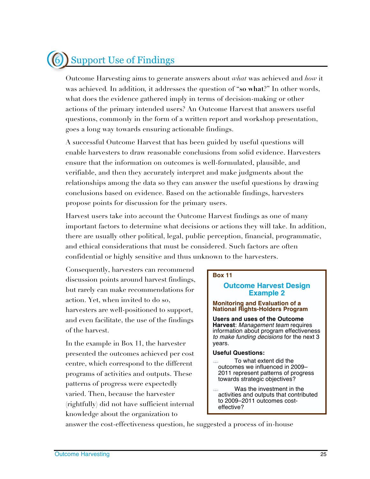# Support Use of Findings

Outcome Harvesting aims to generate answers about *what* was achieved and *how* it was achieved*.* In addition*,* it addresses the question of "**so what**?" In other words, what does the evidence gathered imply in terms of decision-making or other actions of the primary intended users? An Outcome Harvest that answers useful questions, commonly in the form of a written report and workshop presentation, goes a long way towards ensuring actionable findings.

A successful Outcome Harvest that has been guided by useful questions will enable harvesters to draw reasonable conclusions from solid evidence. Harvesters ensure that the information on outcomes is well-formulated, plausible, and verifiable, and then they accurately interpret and make judgments about the relationships among the data so they can answer the useful questions by drawing conclusions based on evidence. Based on the actionable findings, harvesters propose points for discussion for the primary users.

Harvest users take into account the Outcome Harvest findings as one of many important factors to determine what decisions or actions they will take. In addition, there are usually other political, legal, public perception, financial, programmatic, and ethical considerations that must be considered. Such factors are often confidential or highly sensitive and thus unknown to the harvesters.

Consequently, harvesters can recommend discussion points around harvest findings, but rarely can make recommendations for action. Yet, when invited to do so, harvesters are well-positioned to support, and even facilitate, the use of the findings of the harvest.

In the example in Box 11, the harvester presented the outcomes achieved per cost centre, which correspond to the different programs of activities and outputs. These patterns of progress were expectedly varied. Then, because the harvester (rightfully) did not have sufficient internal knowledge about the organization to

#### **Box 11**

#### **Outcome Harvest Design Example 2**

#### **Monitoring and Evaluation of a National Rights-Holders Program**

**Users and uses of the Outcome Harvest**: *Management team* requires information about program effectiveness *to make funding decisions* for the next 3 years.

#### **Useful Questions:**

- **External To what extent did the** outcomes we influenced in 2009– 2011 represent patterns of progress towards strategic objectives?
- Was the investment in the activities and outputs that contributed to 2009–2011 outcomes costeffective?

answer the cost-effectiveness question, he suggested a process of in-house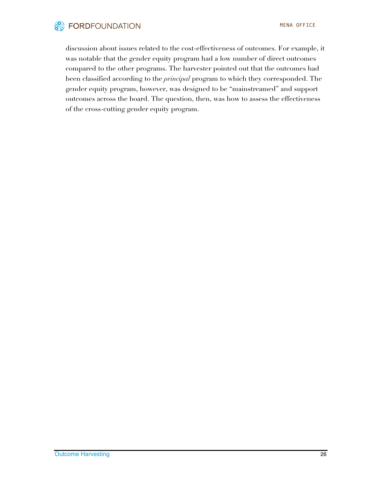

discussion about issues related to the cost-effectiveness of outcomes. For example, it was notable that the gender equity program had a low number of direct outcomes compared to the other programs. The harvester pointed out that the outcomes had been classified according to the *principal* program to which they corresponded. The gender equity program, however, was designed to be "mainstreamed" and support outcomes across the board. The question, then, was how to assess the effectiveness of the cross-cutting gender equity program.